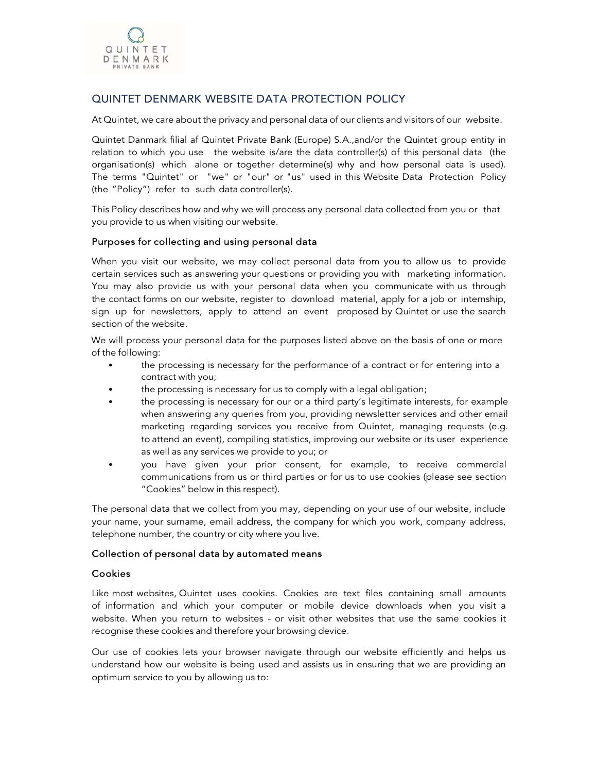

# QUINTET DENMARK WEBSITE DATA PROTECTION POLICY

At Quintet, we care about the privacy and personal data of our clients and visitors of our website.

Quintet Danmark filial af Quintet Private Bank (Europe) S.A.,and/or the Quintet group entity in relation to which you use the website is/are the data controller(s) of this personal data (the organisation(s) which alone or together determine(s) why and how personal data is used). The terms "Quintet" or "we" or "our" or "us" used in this Website Data Protection Policy (the "Policy") refer to such data controller(s).

This Policy describes how and why we will process any personal data collected from you or that you provide to us when visiting our website.

#### Purposes for collecting and using personal data

When you visit our website, we may collect personal data from you to allow us to provide certain services such as answering your questions or providing you with marketing information. You may also provide us with your personal data when you communicate with us through the contact forms on our website, register to download material, apply for a job or internship, sign up for newsletters, apply to attend an event proposed by Quintet or use the search section of the website.

We will process your personal data for the purposes listed above on the basis of one or more of the following:

- the processing is necessary for the performance of a contract or for entering into a contract with you;
- the processing is necessary for us to comply with a legal obligation;
- the processing is necessary for our or a third party's legitimate interests, for example when answering any queries from you, providing newsletter services and other email marketing regarding services you receive from Quintet, managing requests (e.g. to attend an event), compiling statistics, improving our website or its user experience as well as any services we provide to you; or
- you have given your prior consent, for example, to receive commercial communications from us or third parties or for us to use cookies (please see section "Cookies" below in this respect).

The personal data that we collect from you may, depending on your use of our website, include your name, your surname, email address, the company for which you work, company address, telephone number, the country or city where you live.

#### Collection of personal data by automated means

#### Cookies

Like most websites, Quintet uses cookies. Cookies are text files containing small amounts of information and which your computer or mobile device downloads when you visit a website. When you return to websites - or visit other websites that use the same cookies it recognise these cookies and therefore your browsing device.

Our use of cookies lets your browser navigate through our website efficiently and helps us understand how our website is being used and assists us in ensuring that we are providing an optimum service to you by allowing us to: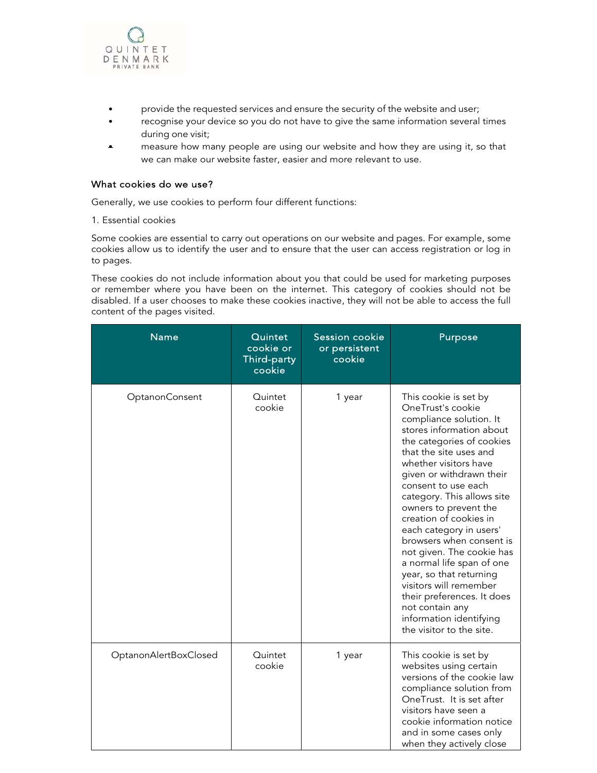

- provide the requested services and ensure the security of the website and user;
- recognise your device so you do not have to give the same information several times during one visit;
- measure how many people are using our website and how they are using it, so that we can make our website faster, easier and more relevant to use.

### What cookies do we use?

Generally, we use cookies to perform four different functions:

1. Essential cookies

Some cookies are essential to carry out operations on our website and pages. For example, some cookies allow us to identify the user and to ensure that the user can access registration or log in to pages.

These cookies do not include information about you that could be used for marketing purposes or remember where you have been on the internet. This category of cookies should not be disabled. If a user chooses to make these cookies inactive, they will not be able to access the full content of the pages visited.

| <b>Name</b>           | Quintet<br>cookie or<br>Third-party<br>cookie | <b>Session cookie</b><br>or persistent<br>cookie | Purpose                                                                                                                                                                                                                                                                                                                                                                                                                                                                                                                                                                                             |
|-----------------------|-----------------------------------------------|--------------------------------------------------|-----------------------------------------------------------------------------------------------------------------------------------------------------------------------------------------------------------------------------------------------------------------------------------------------------------------------------------------------------------------------------------------------------------------------------------------------------------------------------------------------------------------------------------------------------------------------------------------------------|
| OptanonConsent        | Quintet<br>cookie                             | 1 year                                           | This cookie is set by<br>OneTrust's cookie<br>compliance solution. It<br>stores information about<br>the categories of cookies<br>that the site uses and<br>whether visitors have<br>given or withdrawn their<br>consent to use each<br>category. This allows site<br>owners to prevent the<br>creation of cookies in<br>each category in users'<br>browsers when consent is<br>not given. The cookie has<br>a normal life span of one<br>year, so that returning<br>visitors will remember<br>their preferences. It does<br>not contain any<br>information identifying<br>the visitor to the site. |
| OptanonAlertBoxClosed | Quintet<br>cookie                             | 1 year                                           | This cookie is set by<br>websites using certain<br>versions of the cookie law<br>compliance solution from<br>OneTrust. It is set after<br>visitors have seen a<br>cookie information notice<br>and in some cases only<br>when they actively close                                                                                                                                                                                                                                                                                                                                                   |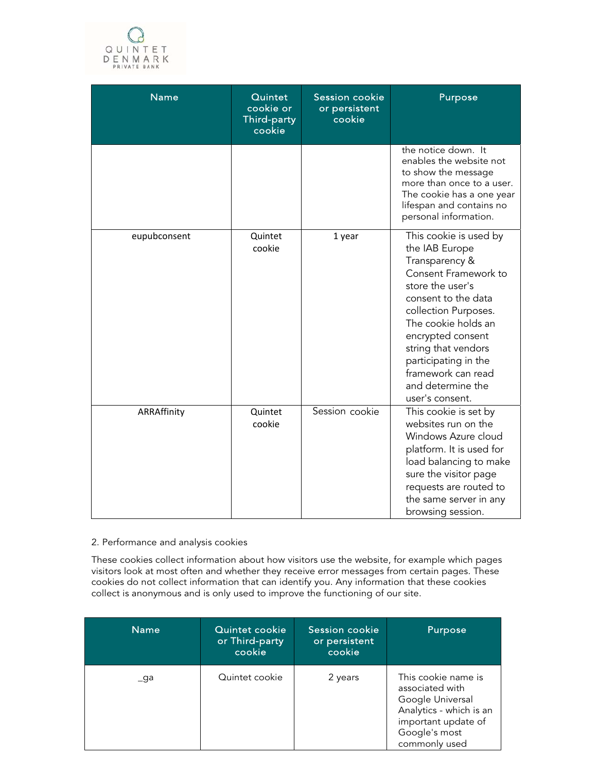

| <b>Name</b>  | Quintet<br>cookie or<br>Third-party<br>cookie | <b>Session cookie</b><br>or persistent<br>cookie | Purpose                                                                                                                                                                                                                                                                                                        |
|--------------|-----------------------------------------------|--------------------------------------------------|----------------------------------------------------------------------------------------------------------------------------------------------------------------------------------------------------------------------------------------------------------------------------------------------------------------|
|              |                                               |                                                  | the notice down. It<br>enables the website not<br>to show the message<br>more than once to a user.<br>The cookie has a one year<br>lifespan and contains no<br>personal information.                                                                                                                           |
| eupubconsent | Quintet<br>cookie                             | 1 year                                           | This cookie is used by<br>the IAB Europe<br>Transparency &<br>Consent Framework to<br>store the user's<br>consent to the data<br>collection Purposes.<br>The cookie holds an<br>encrypted consent<br>string that vendors<br>participating in the<br>framework can read<br>and determine the<br>user's consent. |
| ARRAffinity  | Quintet<br>cookie                             | Session cookie                                   | This cookie is set by<br>websites run on the<br>Windows Azure cloud<br>platform. It is used for<br>load balancing to make<br>sure the visitor page<br>requests are routed to<br>the same server in any<br>browsing session.                                                                                    |

# 2. Performance and analysis cookies

These cookies collect information about how visitors use the website, for example which pages visitors look at most often and whether they receive error messages from certain pages. These cookies do not collect information that can identify you. Any information that these cookies collect is anonymous and is only used to improve the functioning of our site.

| <b>Name</b>   | Quintet cookie<br>or Third-party<br>cookie | <b>Session cookie</b><br>or persistent<br>cookie | Purpose                                                                                                                                        |
|---------------|--------------------------------------------|--------------------------------------------------|------------------------------------------------------------------------------------------------------------------------------------------------|
| $_{\rm -}$ ga | Quintet cookie                             | 2 years                                          | This cookie name is<br>associated with<br>Google Universal<br>Analytics - which is an<br>important update of<br>Google's most<br>commonly used |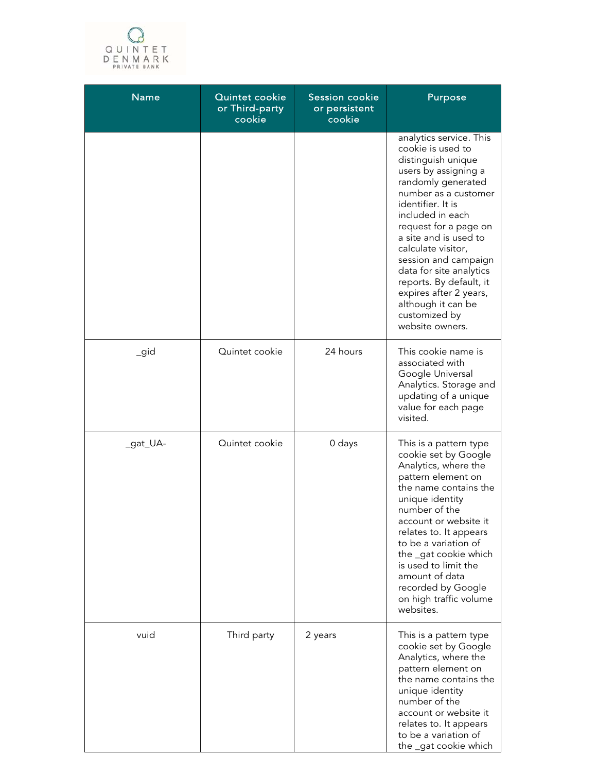

| <b>Name</b> | Quintet cookie<br>or Third-party<br>cookie | <b>Session cookie</b><br>or persistent<br>cookie | Purpose                                                                                                                                                                                                                                                                                                                                                                                                                     |
|-------------|--------------------------------------------|--------------------------------------------------|-----------------------------------------------------------------------------------------------------------------------------------------------------------------------------------------------------------------------------------------------------------------------------------------------------------------------------------------------------------------------------------------------------------------------------|
|             |                                            |                                                  | analytics service. This<br>cookie is used to<br>distinguish unique<br>users by assigning a<br>randomly generated<br>number as a customer<br>identifier. It is<br>included in each<br>request for a page on<br>a site and is used to<br>calculate visitor,<br>session and campaign<br>data for site analytics<br>reports. By default, it<br>expires after 2 years,<br>although it can be<br>customized by<br>website owners. |
| igid        | Quintet cookie                             | 24 hours                                         | This cookie name is<br>associated with<br>Google Universal<br>Analytics. Storage and<br>updating of a unique<br>value for each page<br>visited.                                                                                                                                                                                                                                                                             |
| _gat_UA-    | Quintet cookie                             | 0 days                                           | This is a pattern type<br>cookie set by Google<br>Analytics, where the<br>pattern element on<br>the name contains the<br>unique identity<br>number of the<br>account or website it<br>relates to. It appears<br>to be a variation of<br>the _gat cookie which<br>is used to limit the<br>amount of data<br>recorded by Google<br>on high traffic volume<br>websites.                                                        |
| vuid        | Third party                                | 2 years                                          | This is a pattern type<br>cookie set by Google<br>Analytics, where the<br>pattern element on<br>the name contains the<br>unique identity<br>number of the<br>account or website it<br>relates to. It appears<br>to be a variation of<br>the _gat cookie which                                                                                                                                                               |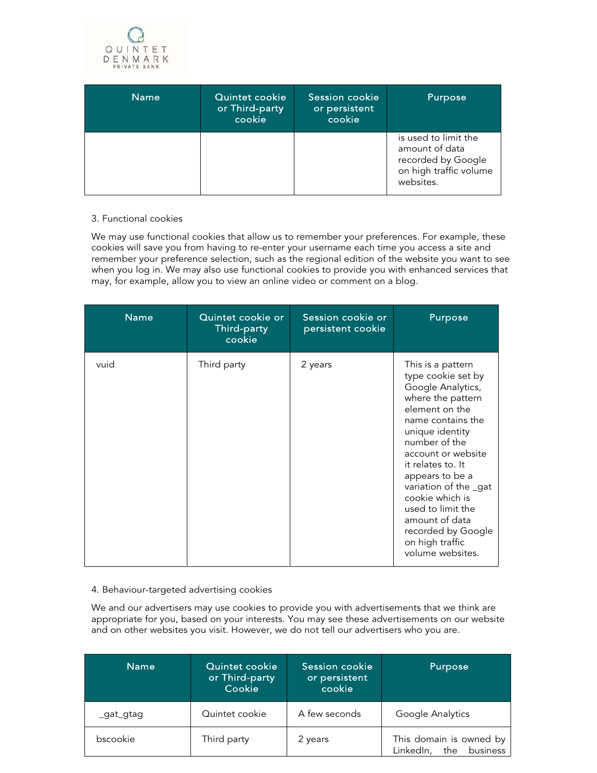

| <b>Name</b> | Quintet cookie<br>or Third-party<br>cookie | Session cookie<br>or persistent<br>cookie | Purpose                                                                                             |
|-------------|--------------------------------------------|-------------------------------------------|-----------------------------------------------------------------------------------------------------|
|             |                                            |                                           | is used to limit the<br>amount of data<br>recorded by Google<br>on high traffic volume<br>websites. |

#### 3. Functional cookies

We may use functional cookies that allow us to remember your preferences. For example, these cookies will save you from having to re-enter your username each time you access a site and remember your preference selection, such as the regional edition of the website you want to see when you log in. We may also use functional cookies to provide you with enhanced services that may, for example, allow you to view an online video or comment on a blog.

| <b>Name</b> | Quintet cookie or<br>Third-party<br>cookie | Session cookie or<br>persistent cookie | <b>Purpose</b>                                                                                                                                                                                                                                                                                                                                                            |
|-------------|--------------------------------------------|----------------------------------------|---------------------------------------------------------------------------------------------------------------------------------------------------------------------------------------------------------------------------------------------------------------------------------------------------------------------------------------------------------------------------|
| vuid        | Third party                                | 2 years                                | This is a pattern<br>type cookie set by<br>Google Analytics,<br>where the pattern<br>element on the<br>name contains the<br>unique identity<br>number of the<br>account or website<br>it relates to. It<br>appears to be a<br>variation of the gat<br>cookie which is<br>used to limit the<br>amount of data<br>recorded by Google<br>on high traffic<br>volume websites. |

#### 4. Behaviour-targeted advertising cookies

We and our advertisers may use cookies to provide you with advertisements that we think are appropriate for you, based on your interests. You may see these advertisements on our website and on other websites you visit. However, we do not tell our advertisers who you are.

| <b>Name</b> | Quintet cookie<br>or Third-party<br>Cookie | Session cookie<br>or persistent<br>cookie | Purpose                                                 |
|-------------|--------------------------------------------|-------------------------------------------|---------------------------------------------------------|
| _gat_gtag   | Quintet cookie                             | A few seconds                             | Google Analytics                                        |
| bscookie    | Third party                                | 2 years                                   | This domain is owned by<br>business<br>LinkedIn,<br>the |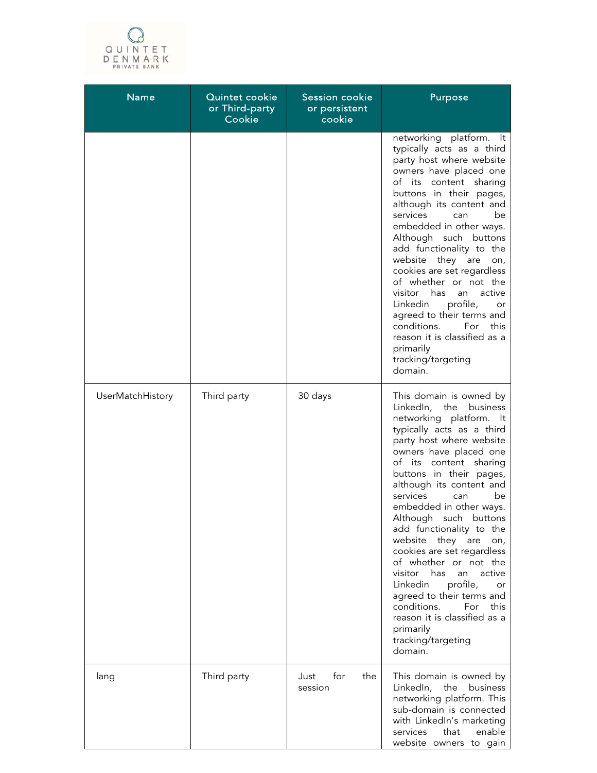

| <b>Name</b>      | Quintet cookie<br>or Third-party<br>Cookie | <b>Session cookie</b><br>or persistent<br>cookie | Purpose                                                                                                                                                                                                                                                                                                                                                                                                                                                                                                                                                                                                                                                    |
|------------------|--------------------------------------------|--------------------------------------------------|------------------------------------------------------------------------------------------------------------------------------------------------------------------------------------------------------------------------------------------------------------------------------------------------------------------------------------------------------------------------------------------------------------------------------------------------------------------------------------------------------------------------------------------------------------------------------------------------------------------------------------------------------------|
|                  |                                            |                                                  | networking platform. It<br>typically acts as a third<br>party host where website<br>owners have placed one<br>of its content sharing<br>buttons in their pages,<br>although its content and<br>services<br>be<br>can<br>embedded in other ways.<br>Although such buttons<br>add functionality to the<br>website<br>they are<br>on,<br>cookies are set regardless<br>of whether or not the<br>visitor has<br>active<br>an<br>Linkedin<br>profile,<br>or<br>agreed to their terms and<br>conditions.<br>For<br>this<br>reason it is classified as a<br>primarily<br>tracking/targeting<br>domain.                                                            |
| UserMatchHistory | Third party                                | 30 days                                          | This domain is owned by<br>LinkedIn, the<br>business<br>networking platform. It<br>typically acts as a third<br>party host where website<br>owners have placed one<br>of its content sharing<br>buttons in their pages,<br>although its content and<br>services<br>be<br>can<br>embedded in other ways.<br>Although such buttons<br>add functionality to the<br>website<br>they are<br>on,<br>cookies are set regardless<br>of whether or not the<br>visitor<br>has<br>active<br>an<br>profile,<br>Linkedin<br>or<br>agreed to their terms and<br>conditions.<br>For<br>this<br>reason it is classified as a<br>primarily<br>tracking/targeting<br>domain. |
| lang             | Third party                                | for<br>the<br>Just<br>session                    | This domain is owned by<br>the<br>LinkedIn,<br>business<br>networking platform. This<br>sub-domain is connected<br>with LinkedIn's marketing<br>enable<br>services<br>that<br>website owners to gain                                                                                                                                                                                                                                                                                                                                                                                                                                                       |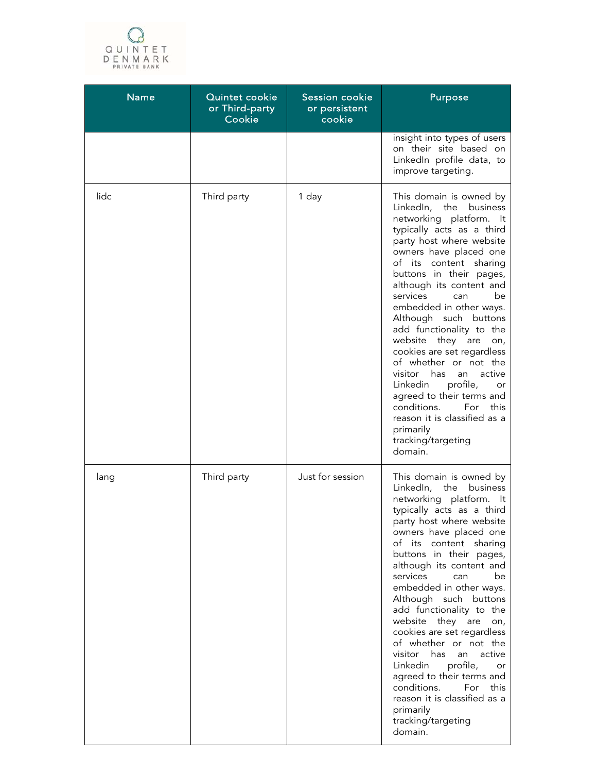

| <b>Name</b> | Quintet cookie<br>or Third-party<br>Cookie | Session cookie<br>or persistent<br>cookie | Purpose                                                                                                                                                                                                                                                                                                                                                                                                                                                                                                                                                                                                                                                    |
|-------------|--------------------------------------------|-------------------------------------------|------------------------------------------------------------------------------------------------------------------------------------------------------------------------------------------------------------------------------------------------------------------------------------------------------------------------------------------------------------------------------------------------------------------------------------------------------------------------------------------------------------------------------------------------------------------------------------------------------------------------------------------------------------|
|             |                                            |                                           | insight into types of users<br>on their site based on<br>LinkedIn profile data, to<br>improve targeting.                                                                                                                                                                                                                                                                                                                                                                                                                                                                                                                                                   |
| lidc        | Third party                                | 1 day                                     | This domain is owned by<br>LinkedIn, the<br>business<br>networking platform. It<br>typically acts as a third<br>party host where website<br>owners have placed one<br>of its content sharing<br>buttons in their pages,<br>although its content and<br>services<br>be<br>can<br>embedded in other ways.<br>Although such buttons<br>add functionality to the<br>they are<br>website<br>on,<br>cookies are set regardless<br>of whether or not the<br>has<br>active<br>visitor<br>an<br>profile,<br>Linkedin<br>or<br>agreed to their terms and<br>conditions.<br>For<br>this<br>reason it is classified as a<br>primarily<br>tracking/targeting<br>domain. |
| lang        | Third party                                | Just for session                          | This domain is owned by<br>LinkedIn,<br>the<br>business<br>networking platform. It<br>typically acts as a third<br>party host where website<br>owners have placed one<br>of its content sharing<br>buttons in their pages,<br>although its content and<br>services<br>be<br>can<br>embedded in other ways.<br>Although such buttons<br>add functionality to the<br>they are<br>website<br>on,<br>cookies are set regardless<br>of whether or not the<br>visitor has<br>active<br>an<br>Linkedin<br>profile,<br>or<br>agreed to their terms and<br>conditions.<br>For<br>this<br>reason it is classified as a<br>primarily<br>tracking/targeting<br>domain. |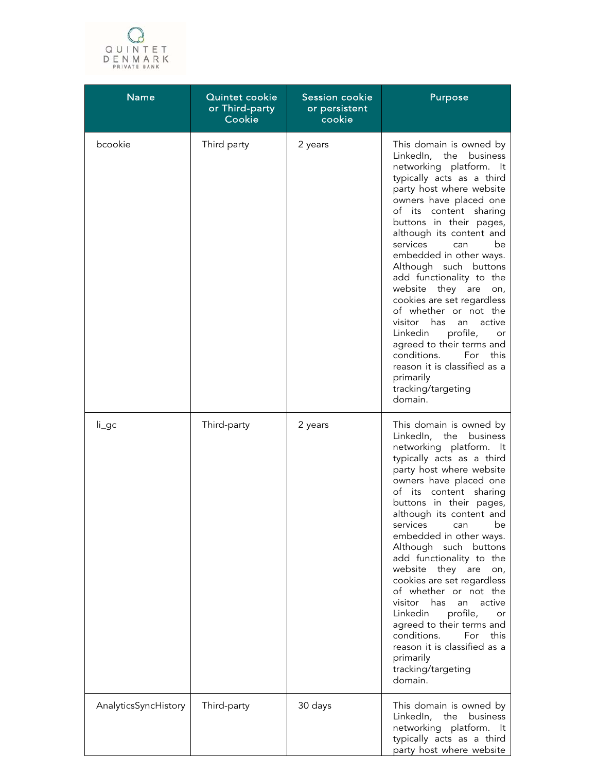

| <b>Name</b>          | Quintet cookie<br>or Third-party<br>Cookie | Session cookie<br>or persistent<br>cookie | Purpose                                                                                                                                                                                                                                                                                                                                                                                                                                                                                                                                                                                                                                                 |
|----------------------|--------------------------------------------|-------------------------------------------|---------------------------------------------------------------------------------------------------------------------------------------------------------------------------------------------------------------------------------------------------------------------------------------------------------------------------------------------------------------------------------------------------------------------------------------------------------------------------------------------------------------------------------------------------------------------------------------------------------------------------------------------------------|
| bcookie              | Third party                                | 2 years                                   | This domain is owned by<br>LinkedIn, the business<br>networking platform. It<br>typically acts as a third<br>party host where website<br>owners have placed one<br>of its content sharing<br>buttons in their pages,<br>although its content and<br>services<br>be<br>can<br>embedded in other ways.<br>Although such buttons<br>add functionality to the<br>website they are<br>on,<br>cookies are set regardless<br>of whether or not the<br>visitor has<br>active<br>an<br>profile,<br>Linkedin<br>or<br>agreed to their terms and<br>conditions.<br>For<br>this<br>reason it is classified as a<br>primarily<br>tracking/targeting<br>domain.       |
| $li\_gc$             | Third-party                                | 2 years                                   | This domain is owned by<br>LinkedIn, the business<br>networking platform. It<br>typically acts as a third<br>party host where website<br>owners have placed one<br>of its<br>content sharing<br>buttons in their pages,<br>although its content and<br>services<br>be<br>can<br>embedded in other ways.<br>Although such buttons<br>add functionality to the<br>website they are<br>on,<br>cookies are set regardless<br>of whether or not the<br>visitor<br>has<br>active<br>an<br>Linkedin<br>profile,<br>or<br>agreed to their terms and<br>conditions.<br>For<br>this<br>reason it is classified as a<br>primarily<br>tracking/targeting<br>domain. |
| AnalyticsSyncHistory | Third-party                                | 30 days                                   | This domain is owned by<br>LinkedIn,<br>the business<br>networking platform. It<br>typically acts as a third<br>party host where website                                                                                                                                                                                                                                                                                                                                                                                                                                                                                                                |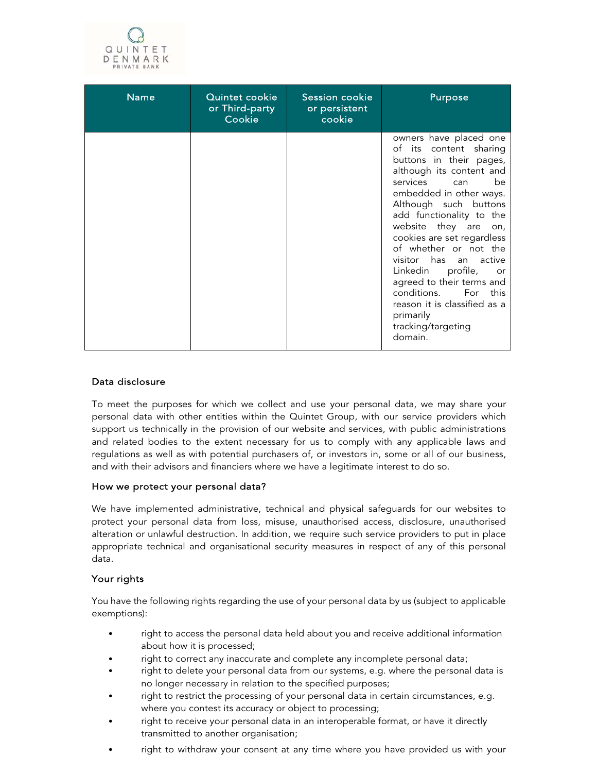

| <b>Name</b> | Quintet cookie<br>or Third-party<br>Cookie | Session cookie<br>or persistent<br>cookie | Purpose                                                                                                                                                                                                                                                                                                                                                                                                                                                                                     |
|-------------|--------------------------------------------|-------------------------------------------|---------------------------------------------------------------------------------------------------------------------------------------------------------------------------------------------------------------------------------------------------------------------------------------------------------------------------------------------------------------------------------------------------------------------------------------------------------------------------------------------|
|             |                                            |                                           | owners have placed one<br>of its content sharing<br>buttons in their pages,<br>although its content and<br>services can<br><sub>he</sub><br>embedded in other ways.<br>Although such buttons<br>add functionality to the<br>website they are on,<br>cookies are set regardless<br>of whether or not the<br>visitor has an active<br>Linkedin profile, or<br>agreed to their terms and<br>conditions. For this<br>reason it is classified as a<br>primarily<br>tracking/targeting<br>domain. |

# Data disclosure

To meet the purposes for which we collect and use your personal data, we may share your personal data with other entities within the Quintet Group, with our service providers which support us technically in the provision of our website and services, with public administrations and related bodies to the extent necessary for us to comply with any applicable laws and regulations as well as with potential purchasers of, or investors in, some or all of our business, and with their advisors and financiers where we have a legitimate interest to do so.

# How we protect your personal data?

We have implemented administrative, technical and physical safeguards for our websites to protect your personal data from loss, misuse, unauthorised access, disclosure, unauthorised alteration or unlawful destruction. In addition, we require such service providers to put in place appropriate technical and organisational security measures in respect of any of this personal data.

# Your rights

You have the following rights regarding the use of your personal data by us (subject to applicable exemptions):

- right to access the personal data held about you and receive additional information about how it is processed;
- right to correct any inaccurate and complete any incomplete personal data;
- right to delete your personal data from our systems, e.g. where the personal data is no longer necessary in relation to the specified purposes;
- right to restrict the processing of your personal data in certain circumstances, e.g. where you contest its accuracy or object to processing;
- right to receive your personal data in an interoperable format, or have it directly transmitted to another organisation;
- right to withdraw your consent at any time where you have provided us with your